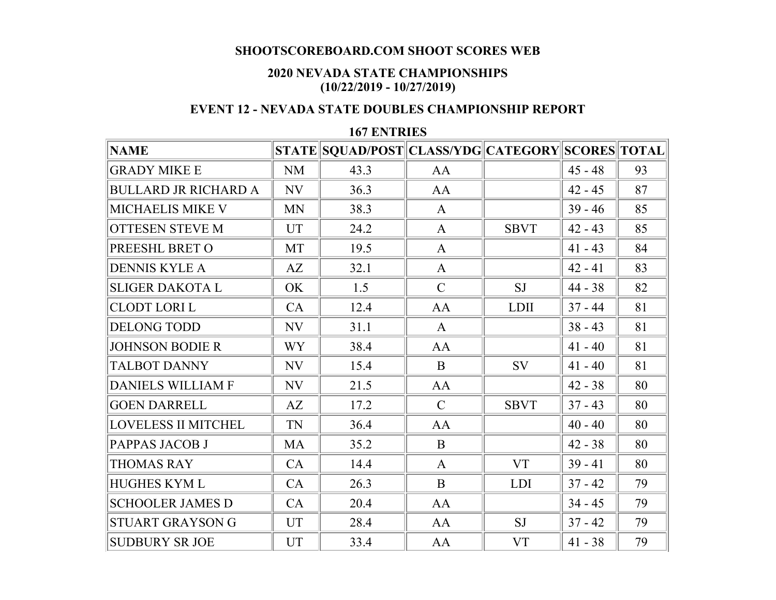## **SHOOTSCOREBOARD.COM SHOOT SCORES WEB**

## **2020 NEVADA STATE CHAMPIONSHIPS (10/22/2019 - 10/27/2019)**

## **EVENT 12 - NEVADA STATE DOUBLES CHAMPIONSHIP REPORT**

## **167 ENTRIES**

| <b>NAME</b>                 |           | STATE SQUAD/POST CLASS/YDG CATEGORY SCORES TOTAL |               |             |           |    |
|-----------------------------|-----------|--------------------------------------------------|---------------|-------------|-----------|----|
| <b>GRADY MIKE E</b>         | <b>NM</b> | 43.3                                             | AA            |             | $45 - 48$ | 93 |
| <b>BULLARD JR RICHARD A</b> | NV        | 36.3                                             | AA            |             | $42 - 45$ | 87 |
| MICHAELIS MIKE V            | <b>MN</b> | 38.3                                             | $\mathbf{A}$  |             | $39 - 46$ | 85 |
| <b>OTTESEN STEVE M</b>      | UT        | 24.2                                             | $\mathbf{A}$  | <b>SBVT</b> | $42 - 43$ | 85 |
| PREESHL BRET O              | MT        | 19.5                                             | $\mathbf{A}$  |             | $41 - 43$ | 84 |
| <b>DENNIS KYLE A</b>        | AZ        | 32.1                                             | $\mathbf{A}$  |             | $42 - 41$ | 83 |
| <b>SLIGER DAKOTA L</b>      | OK        | 1.5                                              | $\mathcal{C}$ | <b>SJ</b>   | $44 - 38$ | 82 |
| <b>CLODT LORI L</b>         | CA        | 12.4                                             | AA            | <b>LDII</b> | $37 - 44$ | 81 |
| <b>DELONG TODD</b>          | NV        | 31.1                                             | $\mathbf{A}$  |             | $38 - 43$ | 81 |
| <b>JOHNSON BODIE R</b>      | <b>WY</b> | 38.4                                             | AA            |             | $41 - 40$ | 81 |
| <b>TALBOT DANNY</b>         | NV        | 15.4                                             | B             | SV          | $41 - 40$ | 81 |
| <b>DANIELS WILLIAM F</b>    | NV        | 21.5                                             | AA            |             | $42 - 38$ | 80 |
| <b>GOEN DARRELL</b>         | AZ        | 17.2                                             | $\mathcal{C}$ | <b>SBVT</b> | $37 - 43$ | 80 |
| <b>LOVELESS II MITCHEL</b>  | TN        | 36.4                                             | AA            |             | $40 - 40$ | 80 |
| PAPPAS JACOB J              | <b>MA</b> | 35.2                                             | $\mathbf{B}$  |             | $42 - 38$ | 80 |
| <b>THOMAS RAY</b>           | CA        | 14.4                                             | $\mathbf{A}$  | <b>VT</b>   | $39 - 41$ | 80 |
| <b>HUGHES KYML</b>          | CA        | 26.3                                             | B             | <b>LDI</b>  | $37 - 42$ | 79 |
| <b>SCHOOLER JAMES D</b>     | CA        | 20.4                                             | AA            |             | $34 - 45$ | 79 |
| STUART GRAYSON G            | <b>UT</b> | 28.4                                             | AA            | <b>SJ</b>   | $37 - 42$ | 79 |
| <b>SUDBURY SR JOE</b>       | <b>UT</b> | 33.4                                             | AA            | <b>VT</b>   | $41 - 38$ | 79 |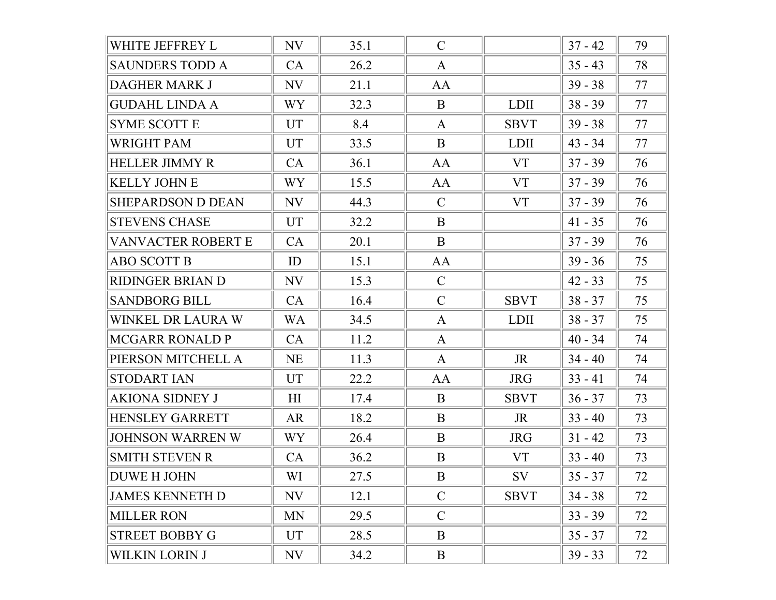| WHITE JEFFREY L          | NV             | 35.1 | $\mathcal{C}$ |             | $37 - 42$ | 79 |
|--------------------------|----------------|------|---------------|-------------|-----------|----|
| <b>SAUNDERS TODD A</b>   | CA             | 26.2 | $\mathbf{A}$  |             | $35 - 43$ | 78 |
| <b>DAGHER MARK J</b>     | NV             | 21.1 | AA            |             | $39 - 38$ | 77 |
| <b>GUDAHL LINDA A</b>    | WY <sub></sub> | 32.3 | B             | <b>LDII</b> | $38 - 39$ | 77 |
| <b>SYME SCOTT E</b>      | <b>UT</b>      | 8.4  | $\mathbf{A}$  | <b>SBVT</b> | $39 - 38$ | 77 |
| WRIGHT PAM               | <b>UT</b>      | 33.5 | B             | <b>LDII</b> | $43 - 34$ | 77 |
| <b>HELLER JIMMY R</b>    | CA             | 36.1 | AA            | <b>VT</b>   | $37 - 39$ | 76 |
| <b>KELLY JOHN E</b>      | WY <sub></sub> | 15.5 | AA            | <b>VT</b>   | $37 - 39$ | 76 |
| <b>SHEPARDSON D DEAN</b> | NV             | 44.3 | $\mathcal{C}$ | <b>VT</b>   | $37 - 39$ | 76 |
| <b>STEVENS CHASE</b>     | <b>UT</b>      | 32.2 | B             |             | $41 - 35$ | 76 |
| VANVACTER ROBERT E       | CA             | 20.1 | B             |             | $37 - 39$ | 76 |
| <b>ABO SCOTT B</b>       | ID             | 15.1 | AA            |             | $39 - 36$ | 75 |
| RIDINGER BRIAN D         | NV             | 15.3 | $\mathcal{C}$ |             | $42 - 33$ | 75 |
| <b>SANDBORG BILL</b>     | CA             | 16.4 | $\mathcal{C}$ | <b>SBVT</b> | $38 - 37$ | 75 |
| WINKEL DR LAURA W        | <b>WA</b>      | 34.5 | $\mathbf{A}$  | <b>LDII</b> | $38 - 37$ | 75 |
| <b>MCGARR RONALD P</b>   | CA             | 11.2 | $\mathbf{A}$  |             | $40 - 34$ | 74 |
| PIERSON MITCHELL A       | <b>NE</b>      | 11.3 | $\mathbf{A}$  | <b>JR</b>   | $34 - 40$ | 74 |
| <b>STODART IAN</b>       | <b>UT</b>      | 22.2 | AA            | <b>JRG</b>  | $33 - 41$ | 74 |
| AKIONA SIDNEY J          | H <sub>I</sub> | 17.4 | B             | <b>SBVT</b> | $36 - 37$ | 73 |
| <b>HENSLEY GARRETT</b>   | AR             | 18.2 | B             | <b>JR</b>   | $33 - 40$ | 73 |
| <b>JOHNSON WARREN W</b>  | WY <sub></sub> | 26.4 | B             | <b>JRG</b>  | $31 - 42$ | 73 |
| <b>SMITH STEVEN R</b>    | CA             | 36.2 | B             | <b>VT</b>   | $33 - 40$ | 73 |
| <b>DUWE H JOHN</b>       | WI             | 27.5 | B             | SV          | $35 - 37$ | 72 |
| <b>JAMES KENNETH D</b>   | NV             | 12.1 | $\mathcal{C}$ | <b>SBVT</b> | $34 - 38$ | 72 |
| <b>MILLER RON</b>        | MN             | 29.5 | $\mathcal{C}$ |             | $33 - 39$ | 72 |
| <b>STREET BOBBY G</b>    | <b>UT</b>      | 28.5 | B             |             | $35 - 37$ | 72 |
| <b>WILKIN LORIN J</b>    | NV             | 34.2 | B             |             | $39 - 33$ | 72 |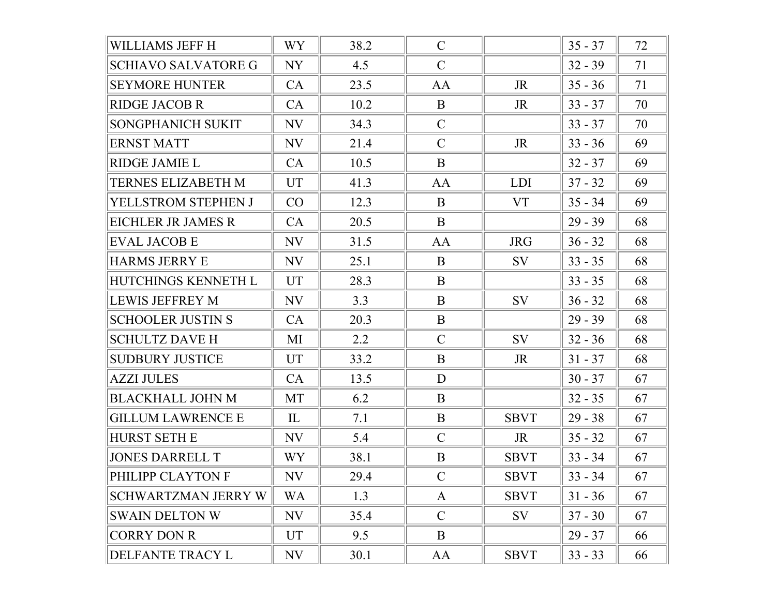| WILLIAMS JEFF H            | WY             | 38.2 | $\mathcal{C}$ |             | $35 - 37$ | 72 |
|----------------------------|----------------|------|---------------|-------------|-----------|----|
| <b>SCHIAVO SALVATORE G</b> | NY             | 4.5  | $\mathcal{C}$ |             | $32 - 39$ | 71 |
| <b>SEYMORE HUNTER</b>      | CA             | 23.5 | AA            | JR          | $35 - 36$ | 71 |
| <b>RIDGE JACOB R</b>       | CA             | 10.2 | B             | <b>JR</b>   | $33 - 37$ | 70 |
| SONGPHANICH SUKIT          | NV             | 34.3 | $\mathcal{C}$ |             | $33 - 37$ | 70 |
| <b>ERNST MATT</b>          | NV             | 21.4 | $\mathcal{C}$ | JR          | $33 - 36$ | 69 |
| <b>RIDGE JAMIE L</b>       | CA             | 10.5 | B             |             | $32 - 37$ | 69 |
| TERNES ELIZABETH M         | <b>UT</b>      | 41.3 | AA            | <b>LDI</b>  | $37 - 32$ | 69 |
| YELLSTROM STEPHEN J        | CO             | 12.3 | B             | <b>VT</b>   | $35 - 34$ | 69 |
| EICHLER JR JAMES R         | CA             | 20.5 | B             |             | $29 - 39$ | 68 |
| <b>EVAL JACOB E</b>        | NV             | 31.5 | AA            | <b>JRG</b>  | $36 - 32$ | 68 |
| <b>HARMS JERRY E</b>       | NV             | 25.1 | B             | <b>SV</b>   | $33 - 35$ | 68 |
| HUTCHINGS KENNETH L        | <b>UT</b>      | 28.3 | B             |             | $33 - 35$ | 68 |
| <b>LEWIS JEFFREY M</b>     | NV             | 3.3  | B             | <b>SV</b>   | $36 - 32$ | 68 |
| <b>SCHOOLER JUSTIN S</b>   | CA             | 20.3 | B             |             | $29 - 39$ | 68 |
| <b>SCHULTZ DAVE H</b>      | МI             | 2.2  | $\mathcal{C}$ | SV          | $32 - 36$ | 68 |
| <b>SUDBURY JUSTICE</b>     | <b>UT</b>      | 33.2 | B             | JR          | $31 - 37$ | 68 |
| <b>AZZI JULES</b>          | CA             | 13.5 | D             |             | $30 - 37$ | 67 |
| <b>BLACKHALL JOHN M</b>    | <b>MT</b>      | 6.2  | B             |             | $32 - 35$ | 67 |
| <b>GILLUM LAWRENCE E</b>   | IL             | 7.1  | B             | <b>SBVT</b> | $29 - 38$ | 67 |
| <b>HURST SETH E</b>        | NV             | 5.4  | $\mathcal{C}$ | JR          | $35 - 32$ | 67 |
| <b>JONES DARRELL T</b>     | WY <sub></sub> | 38.1 | B             | <b>SBVT</b> | $33 - 34$ | 67 |
| PHILIPP CLAYTON F          | NV             | 29.4 | $\mathcal{C}$ | <b>SBVT</b> | $33 - 34$ | 67 |
| <b>SCHWARTZMAN JERRY W</b> | <b>WA</b>      | 1.3  | A             | <b>SBVT</b> | $31 - 36$ | 67 |
| <b>SWAIN DELTON W</b>      | NV             | 35.4 | $\mathcal{C}$ | SV          | $37 - 30$ | 67 |
| <b>CORRY DON R</b>         | UT             | 9.5  | B             |             | $29 - 37$ | 66 |
| DELFANTE TRACY L           | NV             | 30.1 | AA            | <b>SBVT</b> | $33 - 33$ | 66 |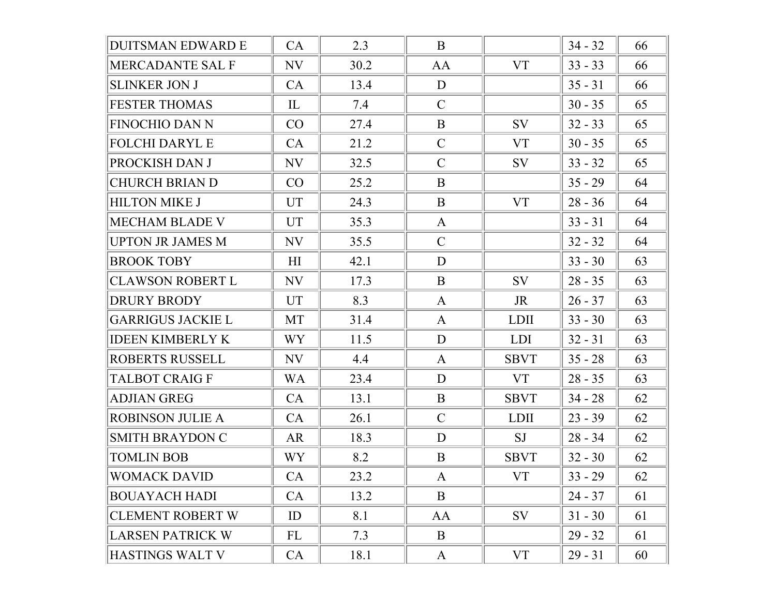| <b>DUITSMAN EDWARD E</b> | CA             | 2.3  | B             |             | $34 - 32$ | 66 |
|--------------------------|----------------|------|---------------|-------------|-----------|----|
| MERCADANTE SAL F         | NV             | 30.2 | AA            | <b>VT</b>   | $33 - 33$ | 66 |
| <b>SLINKER JON J</b>     | CA             | 13.4 | D             |             | $35 - 31$ | 66 |
| <b>FESTER THOMAS</b>     | IL             | 7.4  | $\mathcal{C}$ |             | $30 - 35$ | 65 |
| <b>FINOCHIO DAN N</b>    | CO             | 27.4 | B             | <b>SV</b>   | $32 - 33$ | 65 |
| <b>FOLCHI DARYL E</b>    | CA             | 21.2 | $\mathcal{C}$ | <b>VT</b>   | $30 - 35$ | 65 |
| PROCKISH DAN J           | NV             | 32.5 | $\mathcal{C}$ | SV          | $33 - 32$ | 65 |
| <b>CHURCH BRIAN D</b>    | CO             | 25.2 | B             |             | $35 - 29$ | 64 |
| <b>HILTON MIKE J</b>     | <b>UT</b>      | 24.3 | B             | <b>VT</b>   | $28 - 36$ | 64 |
| <b>MECHAM BLADE V</b>    | <b>UT</b>      | 35.3 | $\mathbf{A}$  |             | $33 - 31$ | 64 |
| <b>UPTON JR JAMES M</b>  | NV             | 35.5 | $\mathcal{C}$ |             | $32 - 32$ | 64 |
| <b>BROOK TOBY</b>        | H1             | 42.1 | D             |             | $33 - 30$ | 63 |
| <b>CLAWSON ROBERT L</b>  | NV             | 17.3 | B             | SV          | $28 - 35$ | 63 |
| <b>DRURY BRODY</b>       | UT             | 8.3  | A             | JR          | $26 - 37$ | 63 |
| <b>GARRIGUS JACKIE L</b> | MT             | 31.4 | $\mathbf{A}$  | <b>LDII</b> | $33 - 30$ | 63 |
| <b>IDEEN KIMBERLY K</b>  | WY             | 11.5 | D             | <b>LDI</b>  | $32 - 31$ | 63 |
| ROBERTS RUSSELL          | NV             | 4.4  | A             | <b>SBVT</b> | $35 - 28$ | 63 |
| <b>TALBOT CRAIG F</b>    | <b>WA</b>      | 23.4 | D             | <b>VT</b>   | $28 - 35$ | 63 |
| <b>ADJIAN GREG</b>       | CA             | 13.1 | $\mathbf{B}$  | <b>SBVT</b> | $34 - 28$ | 62 |
| <b>ROBINSON JULIE A</b>  | CA             | 26.1 | $\mathcal{C}$ | <b>LDII</b> | $23 - 39$ | 62 |
| <b>SMITH BRAYDON C</b>   | AR             | 18.3 | D             | <b>SJ</b>   | $28 - 34$ | 62 |
| <b>TOMLIN BOB</b>        | WY <sub></sub> | 8.2  | B             | <b>SBVT</b> | $32 - 30$ | 62 |
| WOMACK DAVID             | CA             | 23.2 | $\mathbf{A}$  | <b>VT</b>   | $33 - 29$ | 62 |
| <b>BOUAYACH HADI</b>     | CA             | 13.2 | B             |             | $24 - 37$ | 61 |
| <b>CLEMENT ROBERT W</b>  | ID             | 8.1  | AA            | SV          | $31 - 30$ | 61 |
| <b>LARSEN PATRICK W</b>  | FL             | 7.3  | B             |             | $29 - 32$ | 61 |
| HASTINGS WALT V          | CA             | 18.1 | A             | <b>VT</b>   | $29 - 31$ | 60 |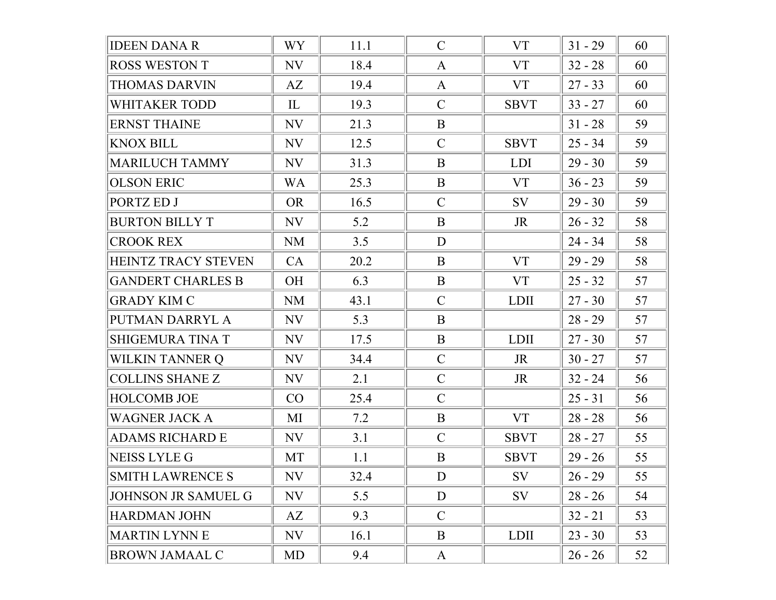| <b>IDEEN DANA R</b>        | WY <sub></sub> | 11.1 | $\mathcal{C}$ | <b>VT</b>   | $31 - 29$ | 60 |
|----------------------------|----------------|------|---------------|-------------|-----------|----|
| <b>ROSS WESTON T</b>       | NV             | 18.4 | A             | <b>VT</b>   | $32 - 28$ | 60 |
| <b>THOMAS DARVIN</b>       | AZ             | 19.4 | $\mathbf{A}$  | <b>VT</b>   | $27 - 33$ | 60 |
| <b>WHITAKER TODD</b>       | IL             | 19.3 | $\mathcal{C}$ | <b>SBVT</b> | $33 - 27$ | 60 |
| <b>ERNST THAINE</b>        | NV             | 21.3 | B             |             | $31 - 28$ | 59 |
| <b>KNOX BILL</b>           | NV             | 12.5 | $\mathcal{C}$ | <b>SBVT</b> | $25 - 34$ | 59 |
| <b>MARILUCH TAMMY</b>      | NV             | 31.3 | B             | <b>LDI</b>  | $29 - 30$ | 59 |
| <b>OLSON ERIC</b>          | <b>WA</b>      | 25.3 | B             | <b>VT</b>   | $36 - 23$ | 59 |
| PORTZ ED J                 | <b>OR</b>      | 16.5 | $\mathcal{C}$ | SV          | $29 - 30$ | 59 |
| <b>BURTON BILLY T</b>      | NV             | 5.2  | B             | JR          | $26 - 32$ | 58 |
| <b>CROOK REX</b>           | NM             | 3.5  | D             |             | $24 - 34$ | 58 |
| <b>HEINTZ TRACY STEVEN</b> | CA             | 20.2 | B             | <b>VT</b>   | $29 - 29$ | 58 |
| <b>GANDERT CHARLES B</b>   | OH             | 6.3  | $\mathbf{B}$  | <b>VT</b>   | $25 - 32$ | 57 |
| <b>GRADY KIM C</b>         | NM             | 43.1 | $\mathcal{C}$ | <b>LDII</b> | $27 - 30$ | 57 |
| PUTMAN DARRYL A            | NV             | 5.3  | B             |             | $28 - 29$ | 57 |
| <b>SHIGEMURA TINA T</b>    | NV             | 17.5 | $\mathbf{B}$  | <b>LDII</b> | $27 - 30$ | 57 |
| WILKIN TANNER Q            | NV             | 34.4 | $\mathcal{C}$ | <b>JR</b>   | $30 - 27$ | 57 |
| <b>COLLINS SHANE Z</b>     | NV             | 2.1  | $\mathcal{C}$ | JR          | $32 - 24$ | 56 |
| <b>HOLCOMB JOE</b>         | CO             | 25.4 | $\mathcal{C}$ |             | $25 - 31$ | 56 |
| <b>WAGNER JACK A</b>       | MI             | 7.2  | B             | <b>VT</b>   | $28 - 28$ | 56 |
| <b>ADAMS RICHARD E</b>     | NV             | 3.1  | $\mathcal{C}$ | <b>SBVT</b> | $28 - 27$ | 55 |
| <b>NEISS LYLE G</b>        | <b>MT</b>      | 1.1  | B             | <b>SBVT</b> | $29 - 26$ | 55 |
| <b>SMITH LAWRENCE S</b>    | NV             | 32.4 | D             | SV          | $26 - 29$ | 55 |
| <b>JOHNSON JR SAMUEL G</b> | NV             | 5.5  | D             | SV          | $28 - 26$ | 54 |
| <b>HARDMAN JOHN</b>        | AZ             | 9.3  | $\mathcal{C}$ |             | $32 - 21$ | 53 |
| <b>MARTIN LYNN E</b>       | NV             | 16.1 | B             | <b>LDII</b> | $23 - 30$ | 53 |
| <b>BROWN JAMAAL C</b>      | MD             | 9.4  | A             |             | $26 - 26$ | 52 |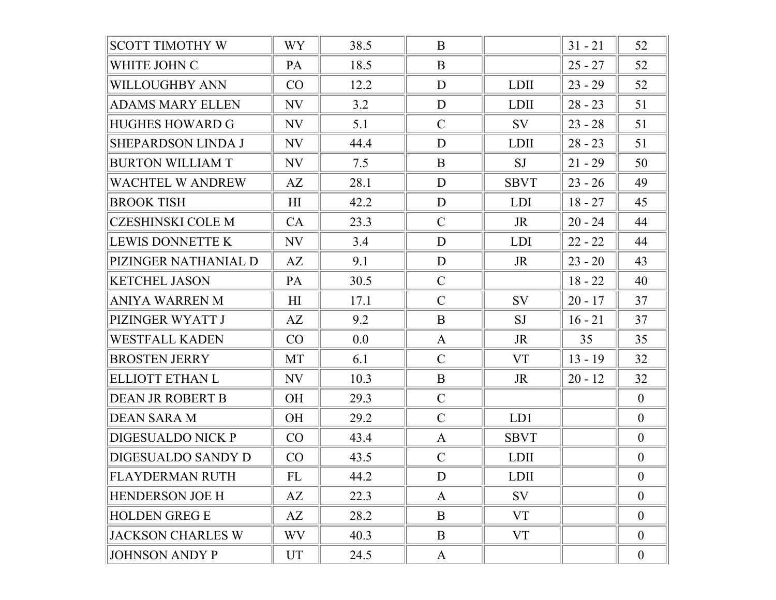| <b>SCOTT TIMOTHY W</b>    | <b>WY</b> | 38.5 | B             |             | $31 - 21$ | 52             |
|---------------------------|-----------|------|---------------|-------------|-----------|----------------|
| WHITE JOHN C              | PA        | 18.5 | B             |             | $25 - 27$ | 52             |
| <b>WILLOUGHBY ANN</b>     | CO        | 12.2 | D             | <b>LDII</b> | $23 - 29$ | 52             |
| <b>ADAMS MARY ELLEN</b>   | NV        | 3.2  | D             | <b>LDII</b> | $28 - 23$ | 51             |
| HUGHES HOWARD G           | NV        | 5.1  | $\mathcal{C}$ | SV          | $23 - 28$ | 51             |
| <b>SHEPARDSON LINDA J</b> | NV        | 44.4 | D             | <b>LDII</b> | $28 - 23$ | 51             |
| <b>BURTON WILLIAM T</b>   | NV        | 7.5  | B             | <b>SJ</b>   | $21 - 29$ | 50             |
| WACHTEL W ANDREW          | AZ        | 28.1 | D             | <b>SBVT</b> | $23 - 26$ | 49             |
| <b>BROOK TISH</b>         | H1        | 42.2 | D             | <b>LDI</b>  | $18 - 27$ | 45             |
| <b>CZESHINSKI COLE M</b>  | CA        | 23.3 | $\mathcal{C}$ | <b>JR</b>   | $20 - 24$ | 44             |
| LEWIS DONNETTE K          | NV        | 3.4  | D             | <b>LDI</b>  | $22 - 22$ | 44             |
| PIZINGER NATHANIAL D      | AZ        | 9.1  | D             | JR          | $23 - 20$ | 43             |
| <b>KETCHEL JASON</b>      | PA        | 30.5 | $\mathcal{C}$ |             | $18 - 22$ | 40             |
| ANIYA WARREN M            | H1        | 17.1 | $\mathcal{C}$ | <b>SV</b>   | $20 - 17$ | 37             |
| PIZINGER WYATT J          | AZ        | 9.2  | B             | <b>SJ</b>   | $16 - 21$ | 37             |
| <b>WESTFALL KADEN</b>     | CO        | 0.0  | $\mathbf{A}$  | JR.         | 35        | 35             |
| <b>BROSTEN JERRY</b>      | MT        | 6.1  | $\mathcal{C}$ | <b>VT</b>   | $13 - 19$ | 32             |
| ELLIOTT ETHAN L           | NV        | 10.3 | B             | JR          | $20 - 12$ | 32             |
| DEAN JR ROBERT B          | OH        | 29.3 | $\mathcal{C}$ |             |           | $\mathbf{0}$   |
| <b>DEAN SARA M</b>        | <b>OH</b> | 29.2 | $\mathcal{C}$ | LD1         |           | $\mathbf{0}$   |
| DIGESUALDO NICK P         | CO        | 43.4 | $\mathbf{A}$  | <b>SBVT</b> |           | $\overline{0}$ |
| DIGESUALDO SANDY D        | CO        | 43.5 | $\mathcal{C}$ | <b>LDII</b> |           | $\mathbf{0}$   |
| <b>FLAYDERMAN RUTH</b>    | FL        | 44.2 | D             | LDII        |           | $\overline{0}$ |
| <b>HENDERSON JOE H</b>    | AZ        | 22.3 | $\mathbf{A}$  | SV          |           | $\overline{0}$ |
| <b>HOLDEN GREG E</b>      | AZ        | 28.2 | B             | <b>VT</b>   |           | $\mathbf{0}$   |
| <b>JACKSON CHARLES W</b>  | WV        | 40.3 | B             | VT          |           | $\mathbf{0}$   |
| <b>JOHNSON ANDY P</b>     | UT        | 24.5 | A             |             |           | $\mathbf{0}$   |